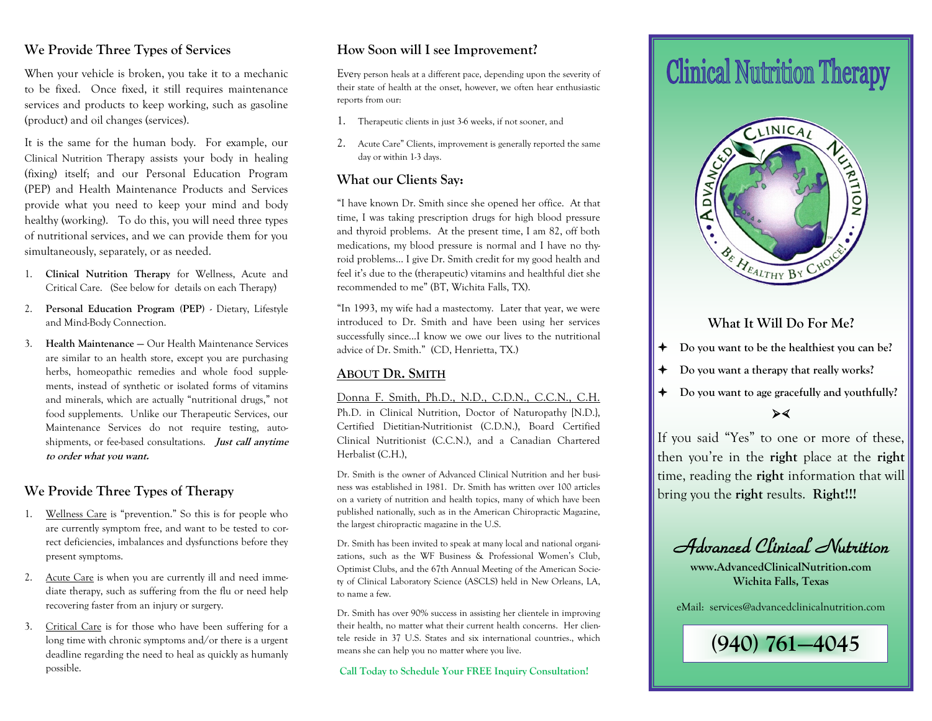## **We Provide Three Types of Services**

When your vehicle is broken, you take it to a mechanic to be fixed. Once fixed, it still requires maintenance services and products to keep working, such as gasoline (product) and oil changes (services).

It is the same for the human body. For example, our Clinical Nutrition Therapy assists your body in healing (fixing) itself; and our Personal Education Program (PEP) and Health Maintenance Products and Services provide what you need to keep your mind and body healthy (working). To do this, you will need three types of nutritional services, and we can provide them for you simultaneously, separately, or as needed.

- 1. **Clinical Nutrition Therapy** for Wellness, Acute and Critical Care. (See below for details on each Therapy)
- 2. **Personal Education Program (PEP)**  Dietary, Lifestyle and Mind-Body Connection.
- 3. **Health Maintenance —** Our Health Maintenance Services are similar to an health store, except you are purchasing herbs, homeopathic remedies and whole food supplements, instead of synthetic or isolated forms of vitamins and minerals, which are actually "nutritional drugs," not food supplements. Unlike our Therapeutic Services, our Maintenance Services do not require testing, autoshipments, or fee-based consultations. **Just call anytime to order what you want.**

# **We Provide Three Types of Therapy**

- 1. Wellness Care is "prevention." So this is for people who are currently symptom free, and want to be tested to correct deficiencies, imbalances and dysfunctions before they present symptoms.
- 2. Acute Care is when you are currently ill and need immediate therapy, such as suffering from the flu or need help recovering faster from an injury or surgery.
- 3. Critical Care is for those who have been suffering for a long time with chronic symptoms and/or there is a urgent deadline regarding the need to heal as quickly as humanly possible.

## **How Soon will I see Improvement?**

Every person heals at a different pace, depending upon the severity of their state of health at the onset, however, we often hear enthusiastic reports from our:

- 1. Therapeutic clients in just 3-6 weeks, if not sooner, and
- 2. Acute Care" Clients, improvement is generally reported the same day or within 1-3 days.

#### **What our Clients Say:**

"I have known Dr. Smith since she opened her office. At that time, I was taking prescription drugs for high blood pressure and thyroid problems. At the present time, I am 82, off both medications, my blood pressure is normal and I have no thyroid problems… I give Dr. Smith credit for my good health and feel it's due to the (therapeutic) vitamins and healthful diet she recommended to me" (BT, Wichita Falls, TX).

"In 1993, my wife had a mastectomy. Later that year, we were introduced to Dr. Smith and have been using her services successfully since...I know we owe our lives to the nutritional advice of Dr. Smith." (CD, Henrietta, TX.)

#### **ABOUT DR. SMITH**

Donna F. Smith, Ph.D., N.D., C.D.N., C.C.N., C.H. Ph.D. in Clinical Nutrition, Doctor of Naturopathy [N.D.}, Certified Dietitian-Nutritionist (C.D.N.), Board Certified Clinical Nutritionist (C.C.N.), and a Canadian Chartered Herbalist (C.H.),

Dr. Smith is the owner of Advanced Clinical Nutrition and her business was established in 1981. Dr. Smith has written over 100 articles on a variety of nutrition and health topics, many of which have been published nationally, such as in the American Chiropractic Magazine, the largest chiropractic magazine in the U.S.

Dr. Smith has been invited to speak at many local and national organizations, such as the WF Business & Professional Women's Club, Optimist Clubs, and the 67th Annual Meeting of the American Society of Clinical Laboratory Science (ASCLS) held in New Orleans, LA, to name a few.

Dr. Smith has over 90% success in assisting her clientele in improving their health, no matter what their current health concerns. Her clientele reside in 37 U.S. States and six international countries., which means she can help you no matter where you live.

**Call Today to Schedule Your FREE Inquiry Consultation!** 

# **Clinical Nutrition Therapy**



## **What It Will Do For Me?**

- **Do you want to be the healthiest you can be?**
- **Do you want a therapy that really works?**
- **Do you want to age gracefully and youthfully?**

#### $\blacktriangleright$

If you said "Yes" to one or more of these, then you're in the **right** place at the **right** time, reading the **right** information that will bring you the **right** results. **Right!!!**

Advanced Clinical Nutrition

**www.AdvancedClinicalNutrition.com Wichita Falls, Texas**

eMail: services@advancedclinicalnutrition.com